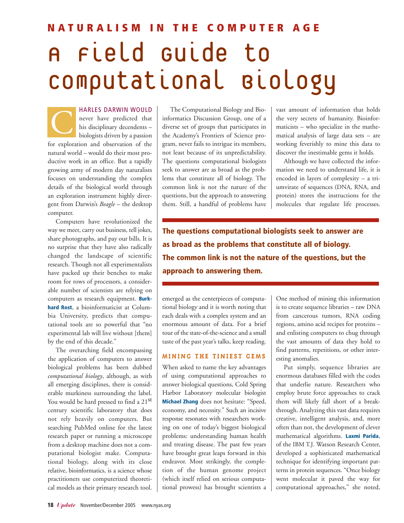# **NATURALISM IN THE COMPUTER AGE**  A Field Guide to Computational Biology

HARLES DARWIN WOULD never have predicted that his disciplinary decendents – biologists driven by a passion for exploration and observation of the natural world – would do their most productive work in an office. But a rapidly growing army of modern day naturalists focuses on understanding the complex details of the biological world through an exploration instrument highly divergent from Darwin's *Beagle* – the desktop computer. C

Computers have revolutionized the way we meet, carry out business, tell jokes, share photographs, and pay our bills. It is no surprise that they have also radically changed the landscape of scientific research. Though not all experimentalists have packed up their benches to make room for rows of processors, a considerable number of scientists are relying on computers as research equipment. **Burkhard Rost**, a bioinformaticist at Columbia University, predicts that computational tools are so powerful that "no experimental lab will live without [them] by the end of this decade."

The overarching field encompassing the application of computers to answer biological problems has been dubbed *computational biology*, although, as with all emerging disciplines, there is considerable murkiness surrounding the label. You would be hard pressed to find a 21<sup>st</sup> century scientific laboratory that does not rely heavily on computers. But searching PubMed online for the latest research paper or running a microscope from a desktop machine does not a computational biologist make. Computational biology, along with its close relative, bioinformatics, is a science whose practitioners use computerized theoretical models as their primary research tool.

The Computational Biology and Bioinformatics Discussion Group, one of a diverse set of groups that participates in the Academy's Frontiers of Science program, never fails to intrigue its members, not least because of its unpredictability. The questions computational biologists seek to answer are as broad as the problems that constitute all of biology. The common link is not the nature of the questions, but the approach to answering them. Still, a handful of problems have vast amount of information that holds the very secrets of humanity. Bioinformaticists – who specialize in the mathematical analysis of large data sets – are working feverishly to mine this data to discover the inestimable gems it holds.

Although we have collected the information we need to understand life, it is encoded in layers of complexity – a triumvirate of sequences (DNA, RNA, and protein) stores the instructions for the molecules that regulate life processes.

**The questions computational biologists seek to answer are as broad as the problems that constitute all of biology. The common link is not the nature of the questions, but the approach to answering them.**

emerged as the centerpieces of computational biology and it is worth noting that each deals with a complex system and an enormous amount of data. For a brief tour of the state-of-the-science and a small taste of the past year's talks, keep reading.

## **MINING THE TINIEST GEMS**

When asked to name the key advantages of using computational approaches to answer biological questions, Cold Spring Harbor Laboratory molecular biologist **Michael Zhang** does not hesitate: "Speed, economy, and necessity." Such an incisive response resonates with researchers working on one of today's biggest biological problems: understanding human health and treating disease. The past few years have brought great leaps forward in this endeavor. Most strikingly, the completion of the human genome project (which itself relied on serious computational prowess) has brought scientists a One method of mining this information is to create sequence libraries – raw DNA from cancerous tumors, RNA coding regions, amino acid recipes for proteins – and enlisting computers to chug through the vast amounts of data they hold to find patterns, repetitions, or other interesting anomalies.

Put simply, sequence libraries are enormous databases filled with the codes that underlie nature. Researchers who employ brute force approaches to crack them will likely fall short of a breakthrough. Analyzing this vast data requires creative, intelligent analysis, and, more often than not, the development of clever mathematical algorithms. **Laxmi Parida**, of the IBM T.J. Watson Research Center, developed a sophisticated mathematical technique for identifying important patterns in protein sequences. "Once biology went molecular it paved the way for computational approaches," she noted,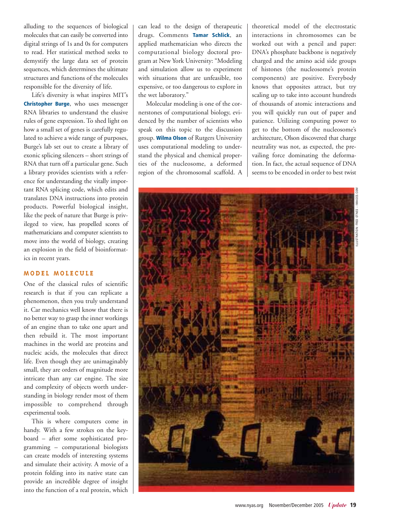alluding to the sequences of biological molecules that can easily be converted into digital strings of 1s and 0s for computers to read. Her statistical method seeks to demystify the large data set of protein sequences, which determines the ultimate structures and functions of the molecules responsible for the diversity of life.

Life's diversity is what inspires MIT's **Christopher Burge**, who uses messenger RNA libraries to understand the elusive rules of gene expression. To shed light on how a small set of genes is carefully regulated to achieve a wide range of purposes, Burge's lab set out to create a library of exonic splicing silencers – short strings of RNA that turn off a particular gene. Such a library provides scientists with a reference for understanding the vitally important RNA splicing code, which edits and translates DNA instructions into protein products. Powerful biological insight, like the peek of nature that Burge is privileged to view, has propelled scores of mathematicians and computer scientists to move into the world of biology, creating an explosion in the field of bioinformatics in recent years.

## **MODEL MOLECULE**

One of the classical rules of scientific research is that if you can replicate a phenomenon, then you truly understand it. Car mechanics well know that there is no better way to grasp the inner workings of an engine than to take one apart and then rebuild it. The most important machines in the world are proteins and nucleic acids, the molecules that direct life. Even though they are unimaginably small, they are orders of magnitude more intricate than any car engine. The size and complexity of objects worth understanding in biology render most of them impossible to comprehend through experimental tools.

This is where computers come in handy. With a few strokes on the keyboard – after some sophisticated programming – computational biologists can create models of interesting systems and simulate their activity. A movie of a protein folding into its native state can provide an incredible degree of insight into the function of a real protein, which can lead to the design of therapeutic drugs. Comments **Tamar Schlick**, an applied mathematician who directs the computational biology doctoral program at New York University: "Modeling and simulation allow us to experiment with situations that are unfeasible, too expensive, or too dangerous to explore in the wet laboratory."

Molecular modeling is one of the cornerstones of computational biology, evidenced by the number of scientists who speak on this topic to the discussion group. **Wilma Olson** of Rutgers University uses computational modeling to understand the physical and chemical properties of the nucleosome, a deformed region of the chromosomal scaffold. A theoretical model of the electrostatic interactions in chromosomes can be worked out with a pencil and paper: DNA's phosphate backbone is negatively charged and the amino acid side groups of histones (the nucleosome's protein components) are positive. Everybody knows that opposites attract, but try scaling up to take into account hundreds of thousands of atomic interactions and you will quickly run out of paper and patience. Utilizing computing power to get to the bottom of the nucleosome's architecture, Olson discovered that charge neutrality was not, as expected, the prevailing force dominating the deformation. In fact, the actual sequence of DNA seems to be encoded in order to best twist



www.nyas.org November/December 2005 *Update* **19**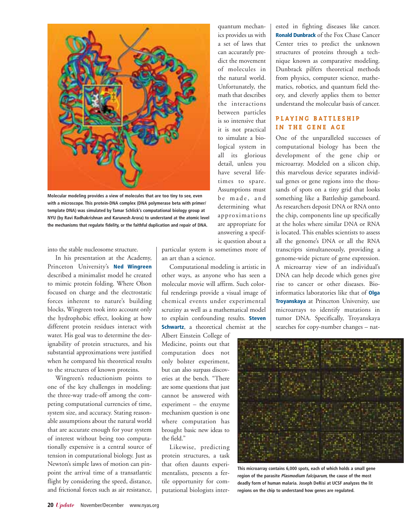

**Molecular modeling provides a view of molecules that are too tiny to see, even with a microscope. This protein-DNA complex (DNA polymerase beta with primer/ template DNA) was simulated by Tamar Schlick's computational biology group at NYU (by Ravi Radhakrishnan and Karunesh Arora) to understand at the atomic level the mechanisms that regulate fidelity, or the faithful duplication and repair of DNA.**

into the stable nucleosome structure.

In his presentation at the Academy, Princeton University's **Ned Wingreen** described a minimalist model he created to mimic protein folding. Where Olson focused on charge and the electrostatic forces inherent to nature's building blocks, Wingreen took into account only the hydrophobic effect, looking at how different protein residues interact with water. His goal was to determine the designability of protein structures, and his substantial approximations were justified when he compared his theoretical results to the structures of known proteins.

Wingreen's reductionism points to one of the key challenges in modeling: the three-way trade-off among the competing computational currencies of time, system size, and accuracy. Stating reasonable assumptions about the natural world that are accurate enough for your system of interest without being too computationally expensive is a central source of tension in computational biology. Just as Newton's simple laws of motion can pinpoint the arrival time of a transatlantic flight by considering the speed, distance, and frictional forces such as air resistance,

particular system is sometimes more of an art than a science.

Computational modeling is artistic in other ways, as anyone who has seen a molecular movie will affirm. Such colorful renderings provide a visual image of chemical events under experimental scrutiny as well as a mathematical model to explain confounding results. **Steven Schwartz**, a theoretical chemist at the

Albert Einstein College of Medicine, points out that computation does not only bolster experiment, but can also surpass discoveries at the bench. "There are some questions that just cannot be answered with experiment – the enzyme mechanism question is one where computation has brought basic new ideas to the field."

Likewise, predicting protein structures, a task that often daunts experimentalists, presents a fertile opportunity for computational biologists inter-

quantum mechanics provides us with a set of laws that can accurately predict the movement of molecules in the natural world. Unfortunately, the math that describes the interactions between particles is so intensive that it is not practical to simulate a biological system in all its glorious detail, unless you have several lifetimes to spare. Assumptions must be made, and determining what approximations are appropriate for answering a specific question about a ested in fighting diseases like cancer. **Ronald Dunbrack** of the Fox Chase Cancer Center tries to predict the unknown structures of proteins through a technique known as comparative modeling. Dunbrack pilfers theoretical methods from physics, computer science, mathematics, robotics, and quantum field theory, and cleverly applies them to better understand the molecular basis of cancer.

## **PLAYING BATTLESHIP IN THE GENE AGE**

One of the unparalleled successes of computational biology has been the development of the gene chip or microarray. Modeled on a silicon chip, this marvelous device separates individual genes or gene regions into the thousands of spots on a tiny grid that looks something like a Battleship gameboard. As researchers deposit DNA or RNA onto the chip, components line up specifically at the holes where similar DNA or RNA is located. This enables scientists to assess all the genome's DNA or all the RNA transcripts simultaneously, providing a genome-wide picture of gene expression. A microarray view of an individual's DNA can help decode which genes give rise to cancer or other diseases. Bioinformatics laboratories like that of **Olga Troyanskaya** at Princeton University, use microarrays to identify mutations in tumor DNA. Specifically, Troyanskaya searches for copy-number changes – nat-



**This microarray contains 6,000 spots, each of which holds a small gene region of the parasite Plasmodium falciparum, the cause of the most deadly form of human malaria. Joseph DeRisi at UCSF analyzes the lit regions on the chip to understand how genes are regulated.**